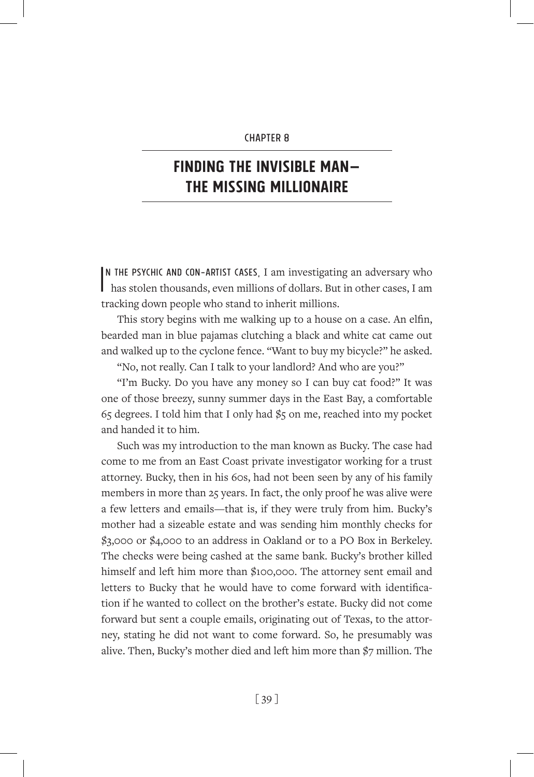## Chapter 8

## Finding The Invisible Man— The Missing Millionaire

 $\mathbf{I}$ n the psychic and con-artist cases, I am investigating an adversary who has stolen thousands, even millions of dollars. But in other cases, I am tracking down people who stand to inherit millions.

This story begins with me walking up to a house on a case. An elfin, bearded man in blue pajamas clutching a black and white cat came out and walked up to the cyclone fence. "Want to buy my bicycle?" he asked.

"No, not really. Can I talk to your landlord? And who are you?"

"I'm Bucky. Do you have any money so I can buy cat food?" It was one of those breezy, sunny summer days in the East Bay, a comfortable 65 degrees. I told him that I only had \$5 on me, reached into my pocket and handed it to him.

Such was my introduction to the man known as Bucky. The case had come to me from an East Coast private investigator working for a trust attorney. Bucky, then in his 60s, had not been seen by any of his family members in more than 25 years. In fact, the only proof he was alive were a few letters and emails—that is, if they were truly from him. Bucky's mother had a sizeable estate and was sending him monthly checks for \$3,000 or \$4,000 to an address in Oakland or to a PO Box in Berkeley. The checks were being cashed at the same bank. Bucky's brother killed himself and left him more than \$100,000. The attorney sent email and letters to Bucky that he would have to come forward with identification if he wanted to collect on the brother's estate. Bucky did not come forward but sent a couple emails, originating out of Texas, to the attorney, stating he did not want to come forward. So, he presumably was alive. Then, Bucky's mother died and left him more than \$7 million. The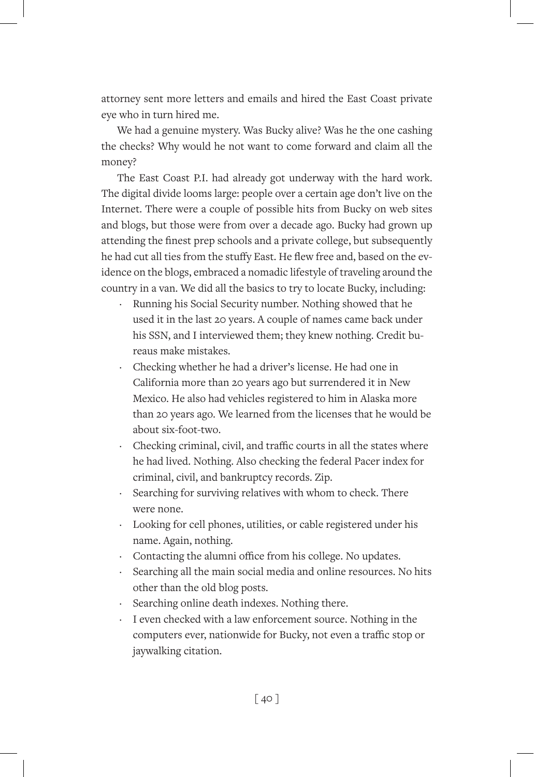attorney sent more letters and emails and hired the East Coast private eye who in turn hired me.

We had a genuine mystery. Was Bucky alive? Was he the one cashing the checks? Why would he not want to come forward and claim all the money?

The East Coast P.I. had already got underway with the hard work. The digital divide looms large: people over a certain age don't live on the Internet. There were a couple of possible hits from Bucky on web sites and blogs, but those were from over a decade ago. Bucky had grown up attending the finest prep schools and a private college, but subsequently he had cut all ties from the stuffy East. He flew free and, based on the evidence on the blogs, embraced a nomadic lifestyle of traveling around the country in a van. We did all the basics to try to locate Bucky, including:

- Running his Social Security number. Nothing showed that he used it in the last 20 years. A couple of names came back under his SSN, and I interviewed them; they knew nothing. Credit bureaus make mistakes.
- · Checking whether he had a driver's license. He had one in California more than 20 years ago but surrendered it in New Mexico. He also had vehicles registered to him in Alaska more than 20 years ago. We learned from the licenses that he would be about six-foot-two.
- · Checking criminal, civil, and traffic courts in all the states where he had lived. Nothing. Also checking the federal Pacer index for criminal, civil, and bankruptcy records. Zip.
- · Searching for surviving relatives with whom to check. There were none.
- · Looking for cell phones, utilities, or cable registered under his name. Again, nothing.
- · Contacting the alumni office from his college. No updates.
- · Searching all the main social media and online resources. No hits other than the old blog posts.
- · Searching online death indexes. Nothing there.
- · I even checked with a law enforcement source. Nothing in the computers ever, nationwide for Bucky, not even a traffic stop or jaywalking citation.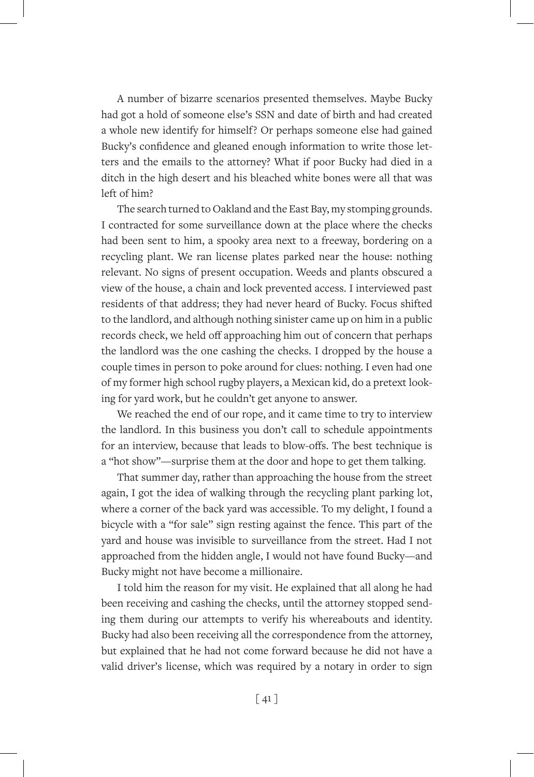A number of bizarre scenarios presented themselves. Maybe Bucky had got a hold of someone else's SSN and date of birth and had created a whole new identify for himself? Or perhaps someone else had gained Bucky's confidence and gleaned enough information to write those letters and the emails to the attorney? What if poor Bucky had died in a ditch in the high desert and his bleached white bones were all that was left of him?

The search turned to Oakland and the East Bay, my stomping grounds. I contracted for some surveillance down at the place where the checks had been sent to him, a spooky area next to a freeway, bordering on a recycling plant. We ran license plates parked near the house: nothing relevant. No signs of present occupation. Weeds and plants obscured a view of the house, a chain and lock prevented access. I interviewed past residents of that address; they had never heard of Bucky. Focus shifted to the landlord, and although nothing sinister came up on him in a public records check, we held off approaching him out of concern that perhaps the landlord was the one cashing the checks. I dropped by the house a couple times in person to poke around for clues: nothing. I even had one of my former high school rugby players, a Mexican kid, do a pretext looking for yard work, but he couldn't get anyone to answer.

We reached the end of our rope, and it came time to try to interview the landlord. In this business you don't call to schedule appointments for an interview, because that leads to blow-offs. The best technique is a "hot show"—surprise them at the door and hope to get them talking.

That summer day, rather than approaching the house from the street again, I got the idea of walking through the recycling plant parking lot, where a corner of the back yard was accessible. To my delight, I found a bicycle with a "for sale" sign resting against the fence. This part of the yard and house was invisible to surveillance from the street. Had I not approached from the hidden angle, I would not have found Bucky—and Bucky might not have become a millionaire.

I told him the reason for my visit. He explained that all along he had been receiving and cashing the checks, until the attorney stopped sending them during our attempts to verify his whereabouts and identity. Bucky had also been receiving all the correspondence from the attorney, but explained that he had not come forward because he did not have a valid driver's license, which was required by a notary in order to sign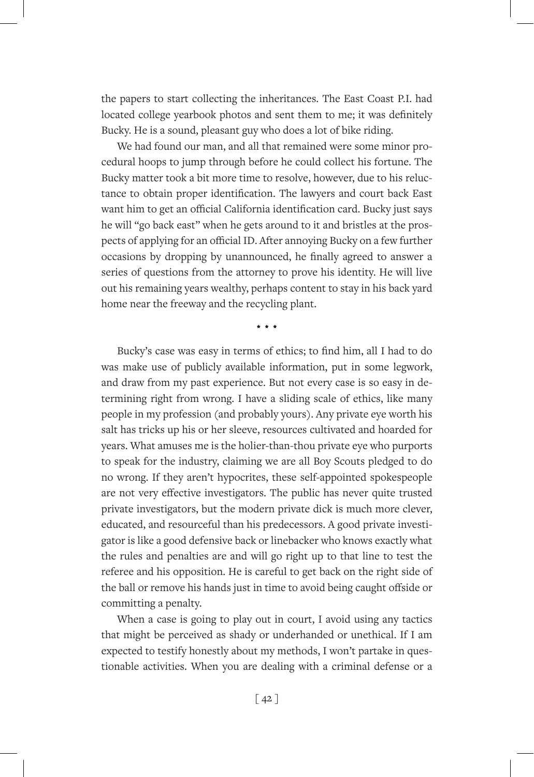the papers to start collecting the inheritances. The East Coast P.I. had located college yearbook photos and sent them to me; it was definitely Bucky. He is a sound, pleasant guy who does a lot of bike riding.

We had found our man, and all that remained were some minor procedural hoops to jump through before he could collect his fortune. The Bucky matter took a bit more time to resolve, however, due to his reluctance to obtain proper identification. The lawyers and court back East want him to get an official California identification card. Bucky just says he will "go back east" when he gets around to it and bristles at the prospects of applying for an official ID. After annoying Bucky on a few further occasions by dropping by unannounced, he finally agreed to answer a series of questions from the attorney to prove his identity. He will live out his remaining years wealthy, perhaps content to stay in his back yard home near the freeway and the recycling plant.

 $\star$   $\star$   $\star$ 

Bucky's case was easy in terms of ethics; to find him, all I had to do was make use of publicly available information, put in some legwork, and draw from my past experience. But not every case is so easy in determining right from wrong. I have a sliding scale of ethics, like many people in my profession (and probably yours). Any private eye worth his salt has tricks up his or her sleeve, resources cultivated and hoarded for years. What amuses me is the holier-than-thou private eye who purports to speak for the industry, claiming we are all Boy Scouts pledged to do no wrong. If they aren't hypocrites, these self-appointed spokespeople are not very effective investigators. The public has never quite trusted private investigators, but the modern private dick is much more clever, educated, and resourceful than his predecessors. A good private investigator is like a good defensive back or linebacker who knows exactly what the rules and penalties are and will go right up to that line to test the referee and his opposition. He is careful to get back on the right side of the ball or remove his hands just in time to avoid being caught offside or committing a penalty.

When a case is going to play out in court, I avoid using any tactics that might be perceived as shady or underhanded or unethical. If I am expected to testify honestly about my methods, I won't partake in questionable activities. When you are dealing with a criminal defense or a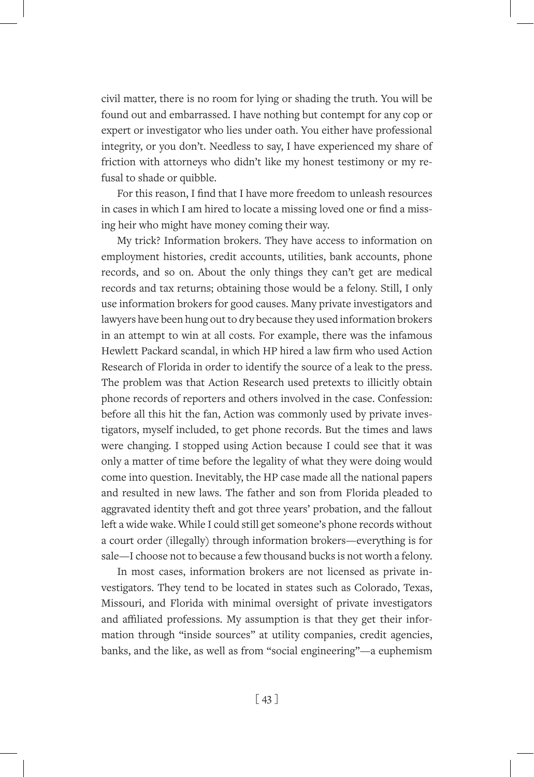civil matter, there is no room for lying or shading the truth. You will be found out and embarrassed. I have nothing but contempt for any cop or expert or investigator who lies under oath. You either have professional integrity, or you don't. Needless to say, I have experienced my share of friction with attorneys who didn't like my honest testimony or my refusal to shade or quibble.

For this reason, I find that I have more freedom to unleash resources in cases in which I am hired to locate a missing loved one or find a missing heir who might have money coming their way.

My trick? Information brokers. They have access to information on employment histories, credit accounts, utilities, bank accounts, phone records, and so on. About the only things they can't get are medical records and tax returns; obtaining those would be a felony. Still, I only use information brokers for good causes. Many private investigators and lawyers have been hung out to dry because they used information brokers in an attempt to win at all costs. For example, there was the infamous Hewlett Packard scandal, in which HP hired a law firm who used Action Research of Florida in order to identify the source of a leak to the press. The problem was that Action Research used pretexts to illicitly obtain phone records of reporters and others involved in the case. Confession: before all this hit the fan, Action was commonly used by private investigators, myself included, to get phone records. But the times and laws were changing. I stopped using Action because I could see that it was only a matter of time before the legality of what they were doing would come into question. Inevitably, the HP case made all the national papers and resulted in new laws. The father and son from Florida pleaded to aggravated identity theft and got three years' probation, and the fallout left a wide wake. While I could still get someone's phone records without a court order (illegally) through information brokers—everything is for sale—I choose not to because a few thousand bucks is not worth a felony.

In most cases, information brokers are not licensed as private investigators. They tend to be located in states such as Colorado, Texas, Missouri, and Florida with minimal oversight of private investigators and affiliated professions. My assumption is that they get their information through "inside sources" at utility companies, credit agencies, banks, and the like, as well as from "social engineering"—a euphemism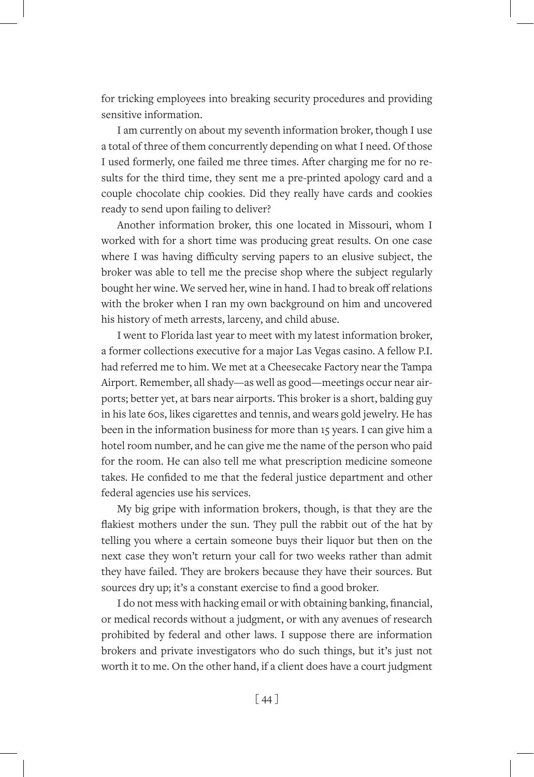for tricking employees into breaking security procedures and providing sensitive information.

I am currently on about my seventh information broker, though I use a total of three of them concurrently depending on what I need. Of those I used formerly, one failed me three times. After charging me for no results for the third time, they sent me a pre-printed apology card and a couple chocolate chip cookies. Did they really have cards and cookies ready to send upon failing to deliver?

Another information broker, this one located in Missouri, whom I worked with for a short time was producing great results. On one case where I was having difficulty serving papers to an elusive subject, the broker was able to tell me the precise shop where the subject regularly bought her wine. We served her, wine in hand. I had to break off relations with the broker when I ran my own background on him and uncovered his history of meth arrests, larceny, and child abuse.

I went to Florida last year to meet with my latest information broker, a former collections executive for a major Las Vegas casino. A fellow P.I. had referred me to him. We met at a Cheesecake Factory near the Tampa Airport. Remember, all shady—as well as good—meetings occur near airports; better yet, at bars near airports. This broker is a short, balding guy in his late 60s, likes cigarettes and tennis, and wears gold jewelry. He has been in the information business for more than 15 years. I can give him a hotel room number, and he can give me the name of the person who paid for the room. He can also tell me what prescription medicine someone takes. He confided to me that the federal justice department and other federal agencies use his services.

My big gripe with information brokers, though, is that they are the flakiest mothers under the sun. They pull the rabbit out of the hat by telling you where a certain someone buys their liquor but then on the next case they won't return your call for two weeks rather than admit they have failed. They are brokers because they have their sources. But sources dry up; it's a constant exercise to find a good broker.

I do not mess with hacking email or with obtaining banking, financial, or medical records without a judgment, or with any avenues of research prohibited by federal and other laws. I suppose there are information brokers and private investigators who do such things, but it's just not worth it to me. On the other hand, if a client does have a court judgment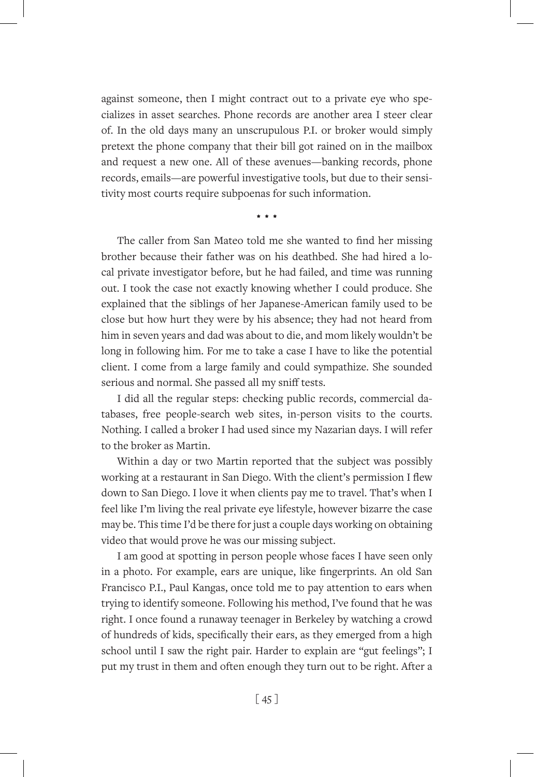against someone, then I might contract out to a private eye who specializes in asset searches. Phone records are another area I steer clear of. In the old days many an unscrupulous P.I. or broker would simply pretext the phone company that their bill got rained on in the mailbox and request a new one. All of these avenues—banking records, phone records, emails—are powerful investigative tools, but due to their sensitivity most courts require subpoenas for such information.

 $\star$   $\star$   $\star$ 

The caller from San Mateo told me she wanted to find her missing brother because their father was on his deathbed. She had hired a local private investigator before, but he had failed, and time was running out. I took the case not exactly knowing whether I could produce. She explained that the siblings of her Japanese-American family used to be close but how hurt they were by his absence; they had not heard from him in seven years and dad was about to die, and mom likely wouldn't be long in following him. For me to take a case I have to like the potential client. I come from a large family and could sympathize. She sounded serious and normal. She passed all my sniff tests.

I did all the regular steps: checking public records, commercial databases, free people-search web sites, in-person visits to the courts. Nothing. I called a broker I had used since my Nazarian days. I will refer to the broker as Martin.

Within a day or two Martin reported that the subject was possibly working at a restaurant in San Diego. With the client's permission I flew down to San Diego. I love it when clients pay me to travel. That's when I feel like I'm living the real private eye lifestyle, however bizarre the case may be. This time I'd be there for just a couple days working on obtaining video that would prove he was our missing subject.

I am good at spotting in person people whose faces I have seen only in a photo. For example, ears are unique, like fingerprints. An old San Francisco P.I., Paul Kangas, once told me to pay attention to ears when trying to identify someone. Following his method, I've found that he was right. I once found a runaway teenager in Berkeley by watching a crowd of hundreds of kids, specifically their ears, as they emerged from a high school until I saw the right pair. Harder to explain are "gut feelings"; I put my trust in them and often enough they turn out to be right. After a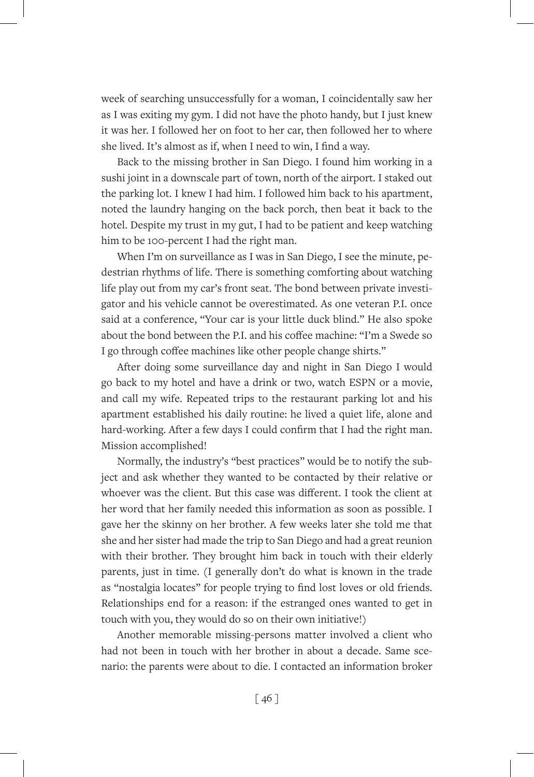week of searching unsuccessfully for a woman, I coincidentally saw her as I was exiting my gym. I did not have the photo handy, but I just knew it was her. I followed her on foot to her car, then followed her to where she lived. It's almost as if, when I need to win, I find a way.

Back to the missing brother in San Diego. I found him working in a sushi joint in a downscale part of town, north of the airport. I staked out the parking lot. I knew I had him. I followed him back to his apartment, noted the laundry hanging on the back porch, then beat it back to the hotel. Despite my trust in my gut, I had to be patient and keep watching him to be 100-percent I had the right man.

When I'm on surveillance as I was in San Diego, I see the minute, pedestrian rhythms of life. There is something comforting about watching life play out from my car's front seat. The bond between private investigator and his vehicle cannot be overestimated. As one veteran P.I. once said at a conference, "Your car is your little duck blind." He also spoke about the bond between the P.I. and his coffee machine: "I'm a Swede so I go through coffee machines like other people change shirts."

After doing some surveillance day and night in San Diego I would go back to my hotel and have a drink or two, watch ESPN or a movie, and call my wife. Repeated trips to the restaurant parking lot and his apartment established his daily routine: he lived a quiet life, alone and hard-working. After a few days I could confirm that I had the right man. Mission accomplished!

Normally, the industry's "best practices" would be to notify the subject and ask whether they wanted to be contacted by their relative or whoever was the client. But this case was different. I took the client at her word that her family needed this information as soon as possible. I gave her the skinny on her brother. A few weeks later she told me that she and her sister had made the trip to San Diego and had a great reunion with their brother. They brought him back in touch with their elderly parents, just in time. (I generally don't do what is known in the trade as "nostalgia locates" for people trying to find lost loves or old friends. Relationships end for a reason: if the estranged ones wanted to get in touch with you, they would do so on their own initiative!)

Another memorable missing-persons matter involved a client who had not been in touch with her brother in about a decade. Same scenario: the parents were about to die. I contacted an information broker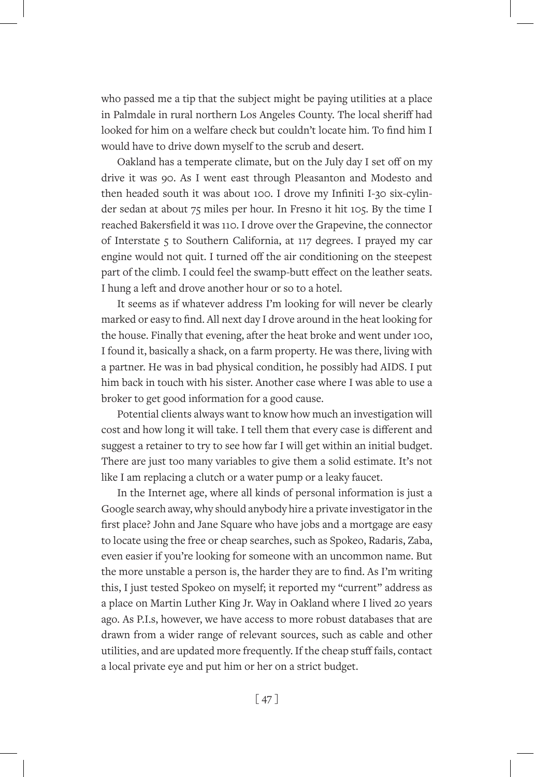who passed me a tip that the subject might be paying utilities at a place in Palmdale in rural northern Los Angeles County. The local sheriff had looked for him on a welfare check but couldn't locate him. To find him I would have to drive down myself to the scrub and desert.

Oakland has a temperate climate, but on the July day I set off on my drive it was 90. As I went east through Pleasanton and Modesto and then headed south it was about 100. I drove my Infiniti I-30 six-cylinder sedan at about 75 miles per hour. In Fresno it hit 105. By the time I reached Bakersfield it was 110. I drove over the Grapevine, the connector of Interstate 5 to Southern California, at 117 degrees. I prayed my car engine would not quit. I turned off the air conditioning on the steepest part of the climb. I could feel the swamp-butt effect on the leather seats. I hung a left and drove another hour or so to a hotel.

It seems as if whatever address I'm looking for will never be clearly marked or easy to find. All next day I drove around in the heat looking for the house. Finally that evening, after the heat broke and went under 100, I found it, basically a shack, on a farm property. He was there, living with a partner. He was in bad physical condition, he possibly had AIDS. I put him back in touch with his sister. Another case where I was able to use a broker to get good information for a good cause.

Potential clients always want to know how much an investigation will cost and how long it will take. I tell them that every case is different and suggest a retainer to try to see how far I will get within an initial budget. There are just too many variables to give them a solid estimate. It's not like I am replacing a clutch or a water pump or a leaky faucet.

In the Internet age, where all kinds of personal information is just a Google search away, why should anybody hire a private investigator in the first place? John and Jane Square who have jobs and a mortgage are easy to locate using the free or cheap searches, such as Spokeo, Radaris, Zaba, even easier if you're looking for someone with an uncommon name. But the more unstable a person is, the harder they are to find. As I'm writing this, I just tested Spokeo on myself; it reported my "current" address as a place on Martin Luther King Jr. Way in Oakland where I lived 20 years ago. As P.I.s, however, we have access to more robust databases that are drawn from a wider range of relevant sources, such as cable and other utilities, and are updated more frequently. If the cheap stuff fails, contact a local private eye and put him or her on a strict budget.